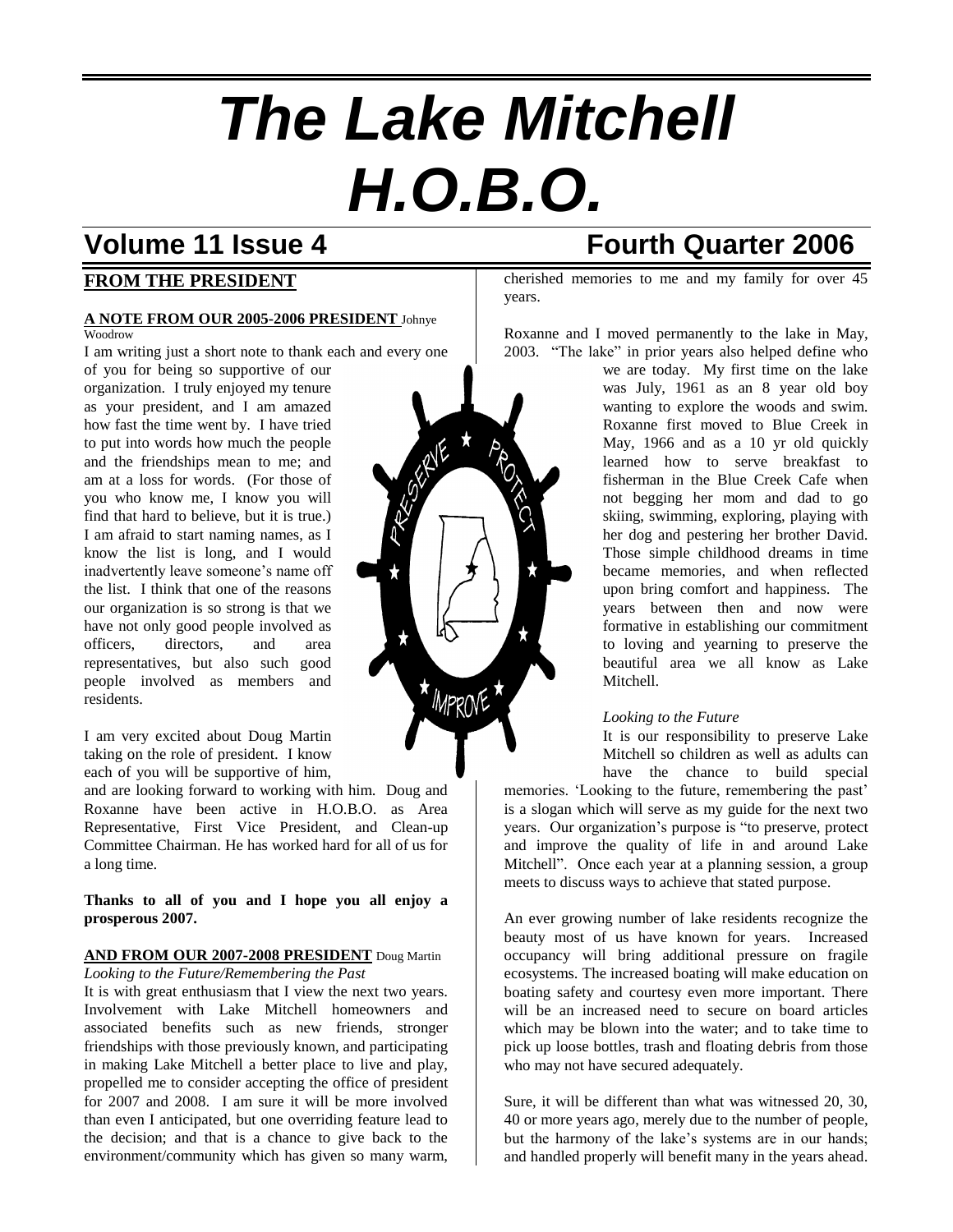# *The Lake Mitchell H.O.B.O.*

### **FROM THE PRESIDENT**

#### **A NOTE FROM OUR 2005-2006 PRESIDENT** Johnye Woodrow

I am writing just a short note to thank each and every one of you for being so supportive of our

organization. I truly enjoyed my tenure as your president, and I am amazed how fast the time went by. I have tried to put into words how much the people and the friendships mean to me; and am at a loss for words. (For those of you who know me, I know you will find that hard to believe, but it is true.) I am afraid to start naming names, as I know the list is long, and I would inadvertently leave someone's name off the list. I think that one of the reasons our organization is so strong is that we have not only good people involved as officers, directors, and area representatives, but also such good people involved as members and residents.

I am very excited about Doug Martin taking on the role of president. I know each of you will be supportive of him,

and are looking forward to working with him. Doug and Roxanne have been active in H.O.B.O. as Area Representative, First Vice President, and Clean-up Committee Chairman. He has worked hard for all of us for a long time.

#### **Thanks to all of you and I hope you all enjoy a prosperous 2007.**

#### **AND FROM OUR 2007-2008 PRESIDENT** Doug Martin

*Looking to the Future/Remembering the Past* It is with great enthusiasm that I view the next two years. Involvement with Lake Mitchell homeowners and associated benefits such as new friends, stronger friendships with those previously known, and participating in making Lake Mitchell a better place to live and play, propelled me to consider accepting the office of president for 2007 and 2008. I am sure it will be more involved than even I anticipated, but one overriding feature lead to the decision; and that is a chance to give back to the environment/community which has given so many warm,

## **Volume 11 Issue 4 Fourth Quarter 2006**

cherished memories to me and my family for over 45 years.

Roxanne and I moved permanently to the lake in May, 2003. "The lake" in prior years also helped define who

we are today. My first time on the lake was July, 1961 as an 8 year old boy wanting to explore the woods and swim. Roxanne first moved to Blue Creek in May, 1966 and as a 10 yr old quickly learned how to serve breakfast to fisherman in the Blue Creek Cafe when not begging her mom and dad to go skiing, swimming, exploring, playing with her dog and pestering her brother David. Those simple childhood dreams in time became memories, and when reflected upon bring comfort and happiness. The years between then and now were formative in establishing our commitment to loving and yearning to preserve the beautiful area we all know as Lake Mitchell.

#### *Looking to the Future*

It is our responsibility to preserve Lake Mitchell so children as well as adults can have the chance to build special

memories. 'Looking to the future, remembering the past' is a slogan which will serve as my guide for the next two years. Our organization's purpose is "to preserve, protect and improve the quality of life in and around Lake Mitchell". Once each year at a planning session, a group meets to discuss ways to achieve that stated purpose.

An ever growing number of lake residents recognize the beauty most of us have known for years. Increased occupancy will bring additional pressure on fragile ecosystems. The increased boating will make education on boating safety and courtesy even more important. There will be an increased need to secure on board articles which may be blown into the water; and to take time to pick up loose bottles, trash and floating debris from those who may not have secured adequately.

Sure, it will be different than what was witnessed 20, 30, 40 or more years ago, merely due to the number of people, but the harmony of the lake's systems are in our hands; and handled properly will benefit many in the years ahead.

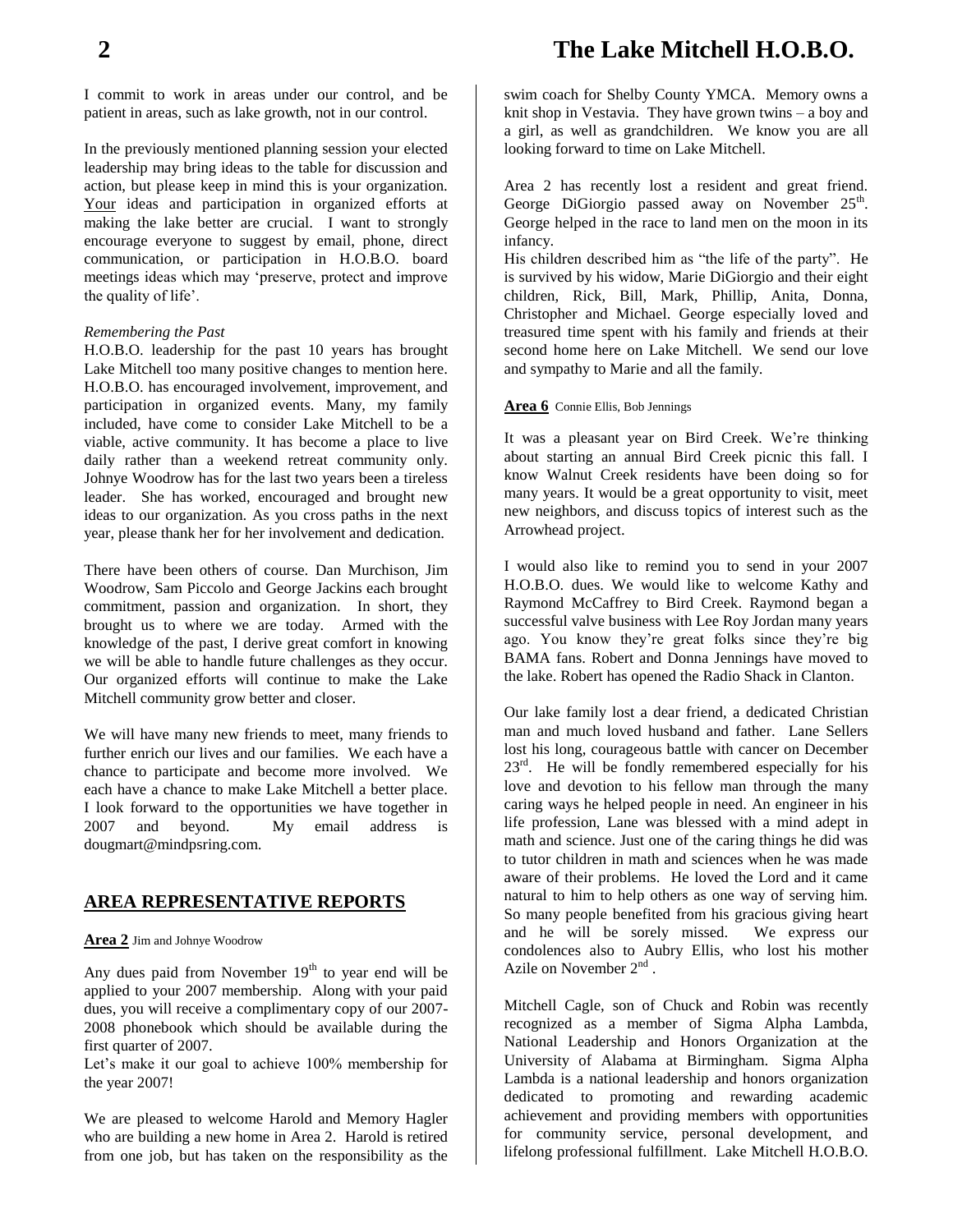## **2 The Lake Mitchell H.O.B.O.**

I commit to work in areas under our control, and be patient in areas, such as lake growth, not in our control.

In the previously mentioned planning session your elected leadership may bring ideas to the table for discussion and action, but please keep in mind this is your organization. Your ideas and participation in organized efforts at making the lake better are crucial. I want to strongly encourage everyone to suggest by email, phone, direct communication, or participation in H.O.B.O. board meetings ideas which may 'preserve, protect and improve the quality of life'.

#### *Remembering the Past*

H.O.B.O. leadership for the past 10 years has brought Lake Mitchell too many positive changes to mention here. H.O.B.O. has encouraged involvement, improvement, and participation in organized events. Many, my family included, have come to consider Lake Mitchell to be a viable, active community. It has become a place to live daily rather than a weekend retreat community only. Johnye Woodrow has for the last two years been a tireless leader. She has worked, encouraged and brought new ideas to our organization. As you cross paths in the next year, please thank her for her involvement and dedication.

There have been others of course. Dan Murchison, Jim Woodrow, Sam Piccolo and George Jackins each brought commitment, passion and organization. In short, they brought us to where we are today. Armed with the knowledge of the past, I derive great comfort in knowing we will be able to handle future challenges as they occur. Our organized efforts will continue to make the Lake Mitchell community grow better and closer.

We will have many new friends to meet, many friends to further enrich our lives and our families. We each have a chance to participate and become more involved. We each have a chance to make Lake Mitchell a better place. I look forward to the opportunities we have together in 2007 and beyond. My email address is dougmart@mindpsring.com.

#### **AREA REPRESENTATIVE REPORTS**

**Area 2** Jim and Johnye Woodrow

Any dues paid from November  $19<sup>th</sup>$  to year end will be applied to your 2007 membership. Along with your paid dues, you will receive a complimentary copy of our 2007- 2008 phonebook which should be available during the first quarter of 2007.

Let's make it our goal to achieve 100% membership for the year 2007!

We are pleased to welcome Harold and Memory Hagler who are building a new home in Area 2. Harold is retired from one job, but has taken on the responsibility as the swim coach for Shelby County YMCA. Memory owns a knit shop in Vestavia. They have grown twins – a boy and a girl, as well as grandchildren. We know you are all looking forward to time on Lake Mitchell.

Area 2 has recently lost a resident and great friend. George DiGiorgio passed away on November  $25<sup>th</sup>$ . George helped in the race to land men on the moon in its infancy.

His children described him as "the life of the party". He is survived by his widow, Marie DiGiorgio and their eight children, Rick, Bill, Mark, Phillip, Anita, Donna, Christopher and Michael. George especially loved and treasured time spent with his family and friends at their second home here on Lake Mitchell. We send our love and sympathy to Marie and all the family.

#### **Area 6** Connie Ellis, Bob Jennings

It was a pleasant year on Bird Creek. We're thinking about starting an annual Bird Creek picnic this fall. I know Walnut Creek residents have been doing so for many years. It would be a great opportunity to visit, meet new neighbors, and discuss topics of interest such as the Arrowhead project.

I would also like to remind you to send in your 2007 H.O.B.O. dues. We would like to welcome Kathy and Raymond McCaffrey to Bird Creek. Raymond began a successful valve business with Lee Roy Jordan many years ago. You know they're great folks since they're big BAMA fans. Robert and Donna Jennings have moved to the lake. Robert has opened the Radio Shack in Clanton.

Our lake family lost a dear friend, a dedicated Christian man and much loved husband and father. Lane Sellers lost his long, courageous battle with cancer on December  $23<sup>rd</sup>$ . He will be fondly remembered especially for his love and devotion to his fellow man through the many caring ways he helped people in need. An engineer in his life profession, Lane was blessed with a mind adept in math and science. Just one of the caring things he did was to tutor children in math and sciences when he was made aware of their problems. He loved the Lord and it came natural to him to help others as one way of serving him. So many people benefited from his gracious giving heart and he will be sorely missed. We express our condolences also to Aubry Ellis, who lost his mother Azile on November  $2<sup>nd</sup>$ .

Mitchell Cagle, son of Chuck and Robin was recently recognized as a member of Sigma Alpha Lambda, National Leadership and Honors Organization at the University of Alabama at Birmingham. Sigma Alpha Lambda is a national leadership and honors organization dedicated to promoting and rewarding academic achievement and providing members with opportunities for community service, personal development, and lifelong professional fulfillment. Lake Mitchell H.O.B.O.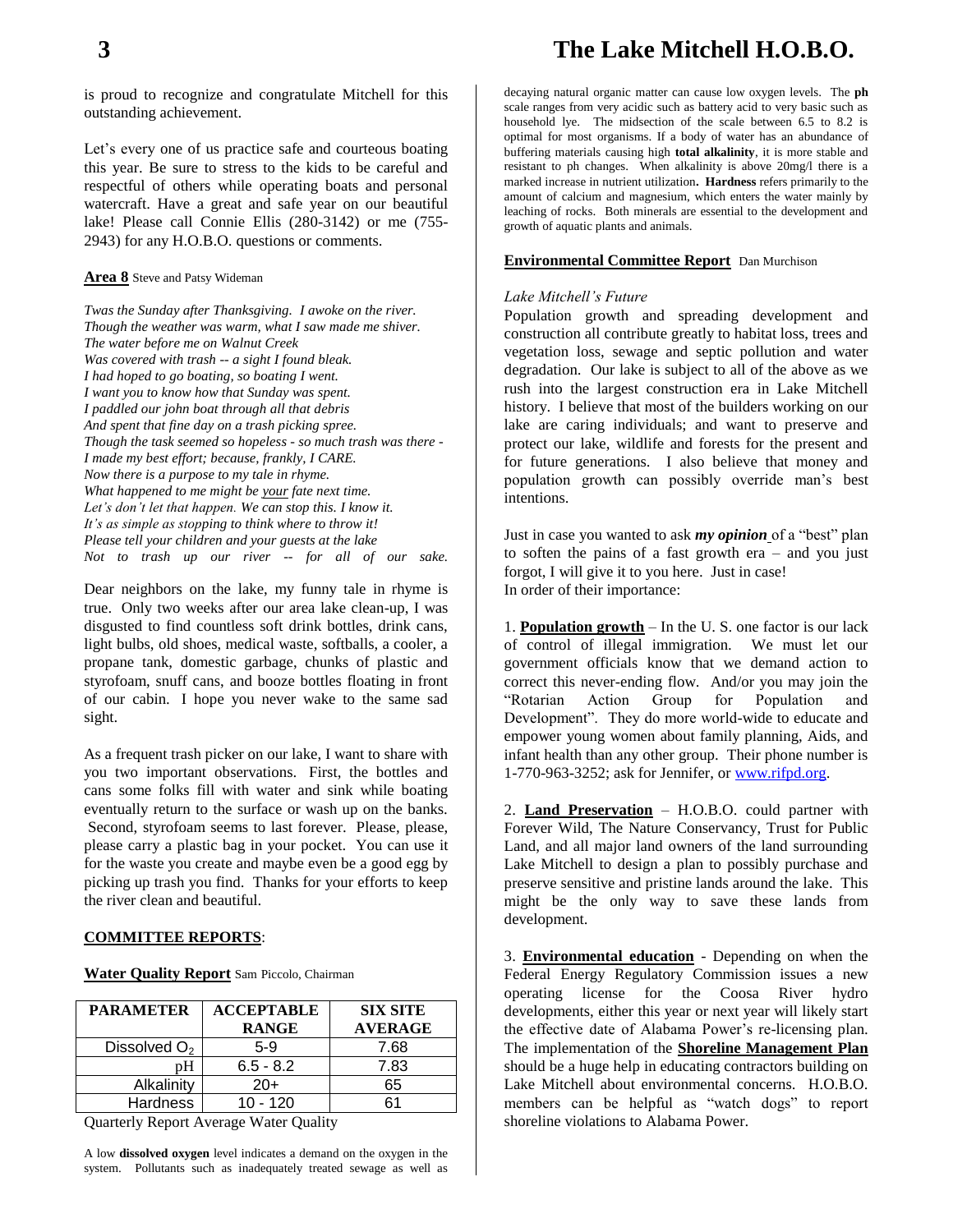is proud to recognize and congratulate Mitchell for this outstanding achievement.

Let's every one of us practice safe and courteous boating this year. Be sure to stress to the kids to be careful and respectful of others while operating boats and personal watercraft. Have a great and safe year on our beautiful lake! Please call Connie Ellis (280-3142) or me (755- 2943) for any H.O.B.O. questions or comments.

#### **Area 8** Steve and Patsy Wideman

*Twas the Sunday after Thanksgiving. I awoke on the river. Though the weather was warm, what I saw made me shiver. The water before me on Walnut Creek Was covered with trash -- a sight I found bleak. I had hoped to go boating, so boating I went. I want you to know how that Sunday was spent. I paddled our john boat through all that debris And spent that fine day on a trash picking spree. Though the task seemed so hopeless - so much trash was there - I made my best effort; because, frankly, I CARE. Now there is a purpose to my tale in rhyme. What happened to me might be your fate next time. Let's don't let that happen. We can stop this. I know it. It's as simple as stopping to think where to throw it! Please tell your children and your guests at the lake Not to trash up our river -- for all of our sake.*

Dear neighbors on the lake, my funny tale in rhyme is true. Only two weeks after our area lake clean-up, I was disgusted to find countless soft drink bottles, drink cans, light bulbs, old shoes, medical waste, softballs, a cooler, a propane tank, domestic garbage, chunks of plastic and styrofoam, snuff cans, and booze bottles floating in front of our cabin. I hope you never wake to the same sad sight.

As a frequent trash picker on our lake, I want to share with you two important observations. First, the bottles and cans some folks fill with water and sink while boating eventually return to the surface or wash up on the banks. Second, styrofoam seems to last forever. Please, please, please carry a plastic bag in your pocket. You can use it for the waste you create and maybe even be a good egg by picking up trash you find. Thanks for your efforts to keep the river clean and beautiful.

#### **COMMITTEE REPORTS**:

**Water Quality Report** Sam Piccolo, Chairman

| <b>PARAMETER</b>         | <b>ACCEPTABLE</b><br><b>RANGE</b> | <b>SIX SITE</b><br><b>AVERAGE</b> |
|--------------------------|-----------------------------------|-----------------------------------|
| Dissolved O <sub>2</sub> | $5-9$                             | 7.68                              |
|                          | $6.5 - 8.2$                       | 7.83                              |
| Alkalinity               | $20+$                             | 65                                |
| <b>Hardness</b>          | 10 - 120                          | ຂ1                                |

Quarterly Report Average Water Quality

A low **dissolved oxygen** level indicates a demand on the oxygen in the system. Pollutants such as inadequately treated sewage as well as

decaying natural organic matter can cause low oxygen levels. The **ph** scale ranges from very acidic such as battery acid to very basic such as household lye. The midsection of the scale between 6.5 to 8.2 is optimal for most organisms. If a body of water has an abundance of buffering materials causing high **total alkalinity**, it is more stable and resistant to ph changes. When alkalinity is above 20mg/l there is a marked increase in nutrient utilization**. Hardness** refers primarily to the amount of calcium and magnesium, which enters the water mainly by leaching of rocks. Both minerals are essential to the development and growth of aquatic plants and animals.

#### **Environmental Committee Report** Dan Murchison

#### *Lake Mitchell's Future*

Population growth and spreading development and construction all contribute greatly to habitat loss, trees and vegetation loss, sewage and septic pollution and water degradation. Our lake is subject to all of the above as we rush into the largest construction era in Lake Mitchell history. I believe that most of the builders working on our lake are caring individuals; and want to preserve and protect our lake, wildlife and forests for the present and for future generations. I also believe that money and population growth can possibly override man's best intentions.

Just in case you wanted to ask *my opinion* of a "best" plan to soften the pains of a fast growth era – and you just forgot, I will give it to you here. Just in case! In order of their importance:

1. **Population growth** – In the U. S. one factor is our lack of control of illegal immigration. We must let our government officials know that we demand action to correct this never-ending flow. And/or you may join the "Rotarian Action Group for Population and Development". They do more world-wide to educate and empower young women about family planning, Aids, and infant health than any other group. Their phone number is 1-770-963-3252; ask for Jennifer, or [www.rifpd.org.](http://www.rifpd.org/)

2. **Land Preservation** – H.O.B.O. could partner with Forever Wild, The Nature Conservancy, Trust for Public Land, and all major land owners of the land surrounding Lake Mitchell to design a plan to possibly purchase and preserve sensitive and pristine lands around the lake. This might be the only way to save these lands from development.

3. **Environmental education** - Depending on when the Federal Energy Regulatory Commission issues a new operating license for the Coosa River hydro developments, either this year or next year will likely start the effective date of Alabama Power's re-licensing plan. The implementation of the **Shoreline Management Plan**  should be a huge help in educating contractors building on Lake Mitchell about environmental concerns. H.O.B.O. members can be helpful as "watch dogs" to report shoreline violations to Alabama Power.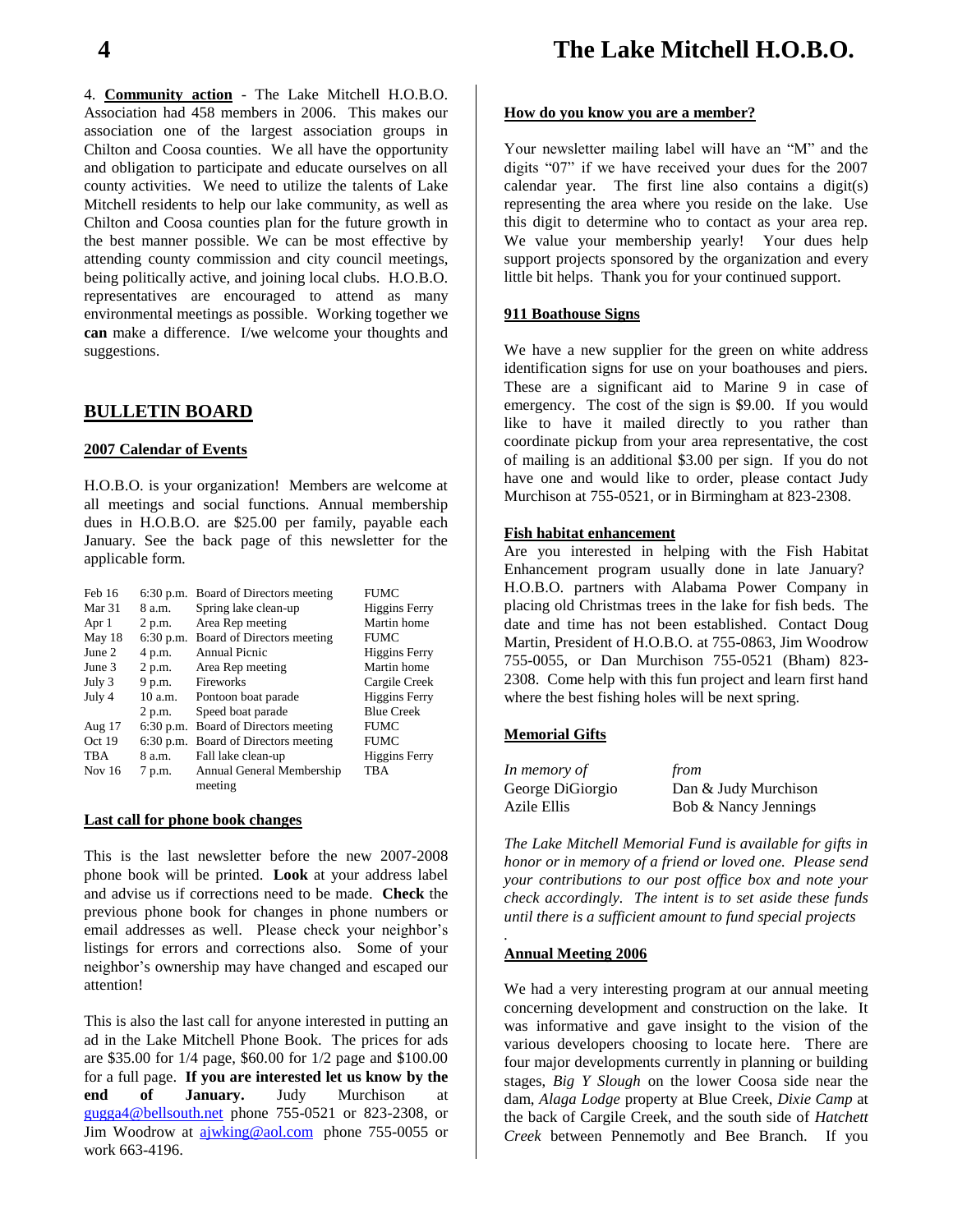4. **Community action** - The Lake Mitchell H.O.B.O. Association had 458 members in 2006. This makes our association one of the largest association groups in Chilton and Coosa counties. We all have the opportunity and obligation to participate and educate ourselves on all county activities. We need to utilize the talents of Lake Mitchell residents to help our lake community, as well as Chilton and Coosa counties plan for the future growth in the best manner possible. We can be most effective by attending county commission and city council meetings, being politically active, and joining local clubs. H.O.B.O. representatives are encouraged to attend as many environmental meetings as possible.Working together we **can** make a difference. I/we welcome your thoughts and suggestions.

#### **BULLETIN BOARD**

#### **2007 Calendar of Events**

H.O.B.O. is your organization! Members are welcome at all meetings and social functions. Annual membership dues in H.O.B.O. are \$25.00 per family, payable each January. See the back page of this newsletter for the applicable form.

| Feb 16     |             | 6:30 p.m. Board of Directors meeting | <b>FUMC</b>          |
|------------|-------------|--------------------------------------|----------------------|
| Mar 31     | 8 a.m.      | Spring lake clean-up                 | <b>Higgins Ferry</b> |
| Apr 1      | 2 p.m.      | Area Rep meeting                     | Martin home          |
| May 18     |             | 6:30 p.m. Board of Directors meeting | <b>FUMC</b>          |
| June 2     | 4 p.m.      | Annual Picnic                        | <b>Higgins Ferry</b> |
| June 3     | 2 p.m.      | Area Rep meeting                     | Martin home          |
| July 3     | 9 p.m.      | <b>Fireworks</b>                     | Cargile Creek        |
| July 4     | 10a.m.      | Pontoon boat parade                  | <b>Higgins Ferry</b> |
|            | 2 p.m.      | Speed boat parade                    | <b>Blue Creek</b>    |
| Aug $17$   | $6:30$ p.m. | Board of Directors meeting           | <b>FUMC</b>          |
| Oct 19     | $6:30$ p.m. | Board of Directors meeting           | <b>FUMC</b>          |
| <b>TBA</b> | 8 a.m.      | Fall lake clean-up                   | <b>Higgins Ferry</b> |
| Nov 16     | 7 p.m.      | Annual General Membership            | <b>TBA</b>           |
|            |             | meeting                              |                      |

#### **Last call for phone book changes**

This is the last newsletter before the new 2007-2008 phone book will be printed. **Look** at your address label and advise us if corrections need to be made. **Check** the previous phone book for changes in phone numbers or email addresses as well. Please check your neighbor's listings for errors and corrections also. Some of your neighbor's ownership may have changed and escaped our attention!

This is also the last call for anyone interested in putting an ad in the Lake Mitchell Phone Book. The prices for ads are \$35.00 for 1/4 page, \$60.00 for 1/2 page and \$100.00 for a full page. **If you are interested let us know by the end of January.** Judy Murchison at [gugga4@bellsouth.net](mailto:gugga4@bellsouth.net) phone 755-0521 or 823-2308, or Jim Woodrow at [ajwking@aol.com](mailto:ajwking@aol.com) phone 755-0055 or work 663-4196.

#### **How do you know you are a member?**

Your newsletter mailing label will have an "M" and the digits "07" if we have received your dues for the 2007 calendar year. The first line also contains a digit(s) representing the area where you reside on the lake. Use this digit to determine who to contact as your area rep. We value your membership yearly! Your dues help support projects sponsored by the organization and every little bit helps. Thank you for your continued support.

#### **911 Boathouse Signs**

We have a new supplier for the green on white address identification signs for use on your boathouses and piers. These are a significant aid to Marine 9 in case of emergency. The cost of the sign is \$9.00. If you would like to have it mailed directly to you rather than coordinate pickup from your area representative, the cost of mailing is an additional \$3.00 per sign. If you do not have one and would like to order, please contact Judy Murchison at 755-0521, or in Birmingham at 823-2308.

#### **Fish habitat enhancement**

Are you interested in helping with the Fish Habitat Enhancement program usually done in late January? H.O.B.O. partners with Alabama Power Company in placing old Christmas trees in the lake for fish beds. The date and time has not been established. Contact Doug Martin, President of H.O.B.O. at 755-0863, Jim Woodrow 755-0055, or Dan Murchison 755-0521 (Bham) 823- 2308. Come help with this fun project and learn first hand where the best fishing holes will be next spring.

#### **Memorial Gifts**

| In memory of     | from                 |
|------------------|----------------------|
| George DiGiorgio | Dan & Judy Murchison |
| Azile Ellis      | Bob & Nancy Jennings |

*The Lake Mitchell Memorial Fund is available for gifts in honor or in memory of a friend or loved one. Please send your contributions to our post office box and note your check accordingly. The intent is to set aside these funds until there is a sufficient amount to fund special projects*

#### **Annual Meeting 2006**

*.*

We had a very interesting program at our annual meeting concerning development and construction on the lake. It was informative and gave insight to the vision of the various developers choosing to locate here. There are four major developments currently in planning or building stages, *Big Y Slough* on the lower Coosa side near the dam, *Alaga Lodge* property at Blue Creek, *Dixie Camp* at the back of Cargile Creek, and the south side of *Hatchett Creek* between Pennemotly and Bee Branch. If you